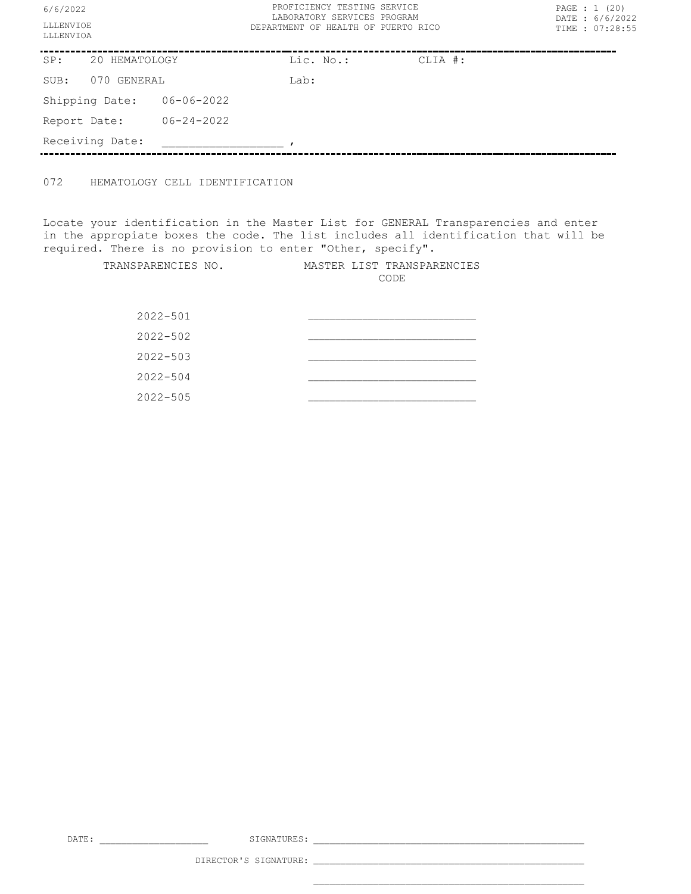| 6/6/2022               |                 |                  | PROFICIENCY TESTING SERVICE<br>LABORATORY SERVICES PROGRAM | PAGE : 1 (20)<br>DATE: 6/6/2022 |  |  |
|------------------------|-----------------|------------------|------------------------------------------------------------|---------------------------------|--|--|
| LLLENVIOE<br>LLLENVIOA |                 |                  | DEPARTMENT OF HEALTH OF PUERTO RICO                        | TIME : 07:28:55                 |  |  |
| SP:<br>20 HEMATOLOGY   |                 | Lic. No.:        | CLIA #:                                                    |                                 |  |  |
| SUB:                   | 070 GENERAL     |                  | Lab:                                                       |                                 |  |  |
|                        | Shipping Date:  | 06-06-2022       |                                                            |                                 |  |  |
| Report Date:           |                 | $06 - 24 - 2022$ |                                                            |                                 |  |  |
|                        | Receiving Date: |                  |                                                            |                                 |  |  |

072 HEMATOLOGY CELL IDENTIFICATION

Locate your identification in the Master List for GENERAL Transparencies and enter in the appropiate boxes the code. The list includes all identification that will be required. There is no provision to enter "Other, specify".

> TRANSPARENCIES NO. MASTER LIST TRANSPARENCIES CODE  $2022 - 501$  $2022 - 502$  $2022 - 503$  $2022 - 504$  $2022 - 505$

DATE: \_\_\_\_\_\_\_\_\_\_\_\_\_\_\_\_\_\_\_\_ SIGNATURES: \_\_\_\_\_\_\_\_\_\_\_\_\_\_\_\_\_\_\_\_\_\_\_\_\_\_\_\_\_\_\_\_\_\_\_\_\_\_\_\_\_\_\_\_\_\_\_\_\_\_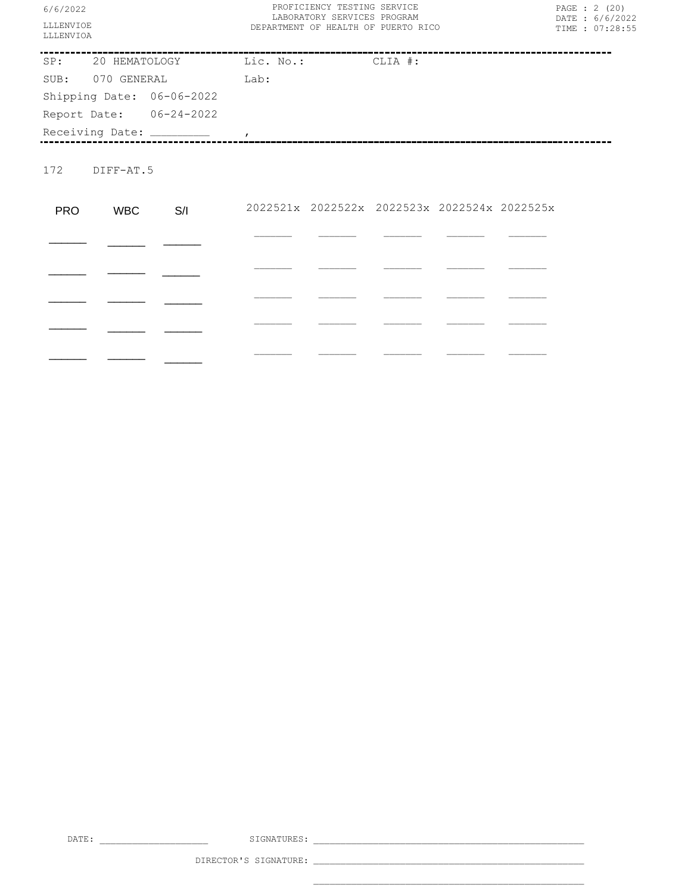| 6/6/2022<br>LLLENVIOE<br>LLLENVIOA |               |                                     | PROFICIENCY TESTING SERVICE<br>LABORATORY SERVICES PROGRAM<br>DEPARTMENT OF HEALTH OF PUERTO RICO |  |                                              |  |  | PAGE : 2 (20)<br>DATE : 6/6/2022<br>TIME : 07:28:55 |
|------------------------------------|---------------|-------------------------------------|---------------------------------------------------------------------------------------------------|--|----------------------------------------------|--|--|-----------------------------------------------------|
|                                    |               | SP: 20 HEMATOLOGY Lic. No.: CLIA #: |                                                                                                   |  |                                              |  |  |                                                     |
|                                    |               | SUB: 070 GENERAL Lab:               |                                                                                                   |  |                                              |  |  |                                                     |
|                                    |               | Shipping Date: 06-06-2022           |                                                                                                   |  |                                              |  |  |                                                     |
|                                    |               | Report Date: 06-24-2022             |                                                                                                   |  |                                              |  |  |                                                     |
|                                    |               |                                     |                                                                                                   |  |                                              |  |  |                                                     |
|                                    | 172 DIFF-AT.5 |                                     |                                                                                                   |  |                                              |  |  |                                                     |
| <b>PRO</b>                         | WBC           | S/I                                 |                                                                                                   |  | 2022521x 2022522x 2022523x 2022524x 2022525x |  |  |                                                     |
|                                    |               |                                     |                                                                                                   |  |                                              |  |  |                                                     |
|                                    |               |                                     |                                                                                                   |  |                                              |  |  |                                                     |
|                                    |               |                                     |                                                                                                   |  |                                              |  |  |                                                     |
|                                    |               |                                     |                                                                                                   |  |                                              |  |  |                                                     |

\_\_\_\_\_\_\_ \_\_\_\_\_\_\_ \_\_\_\_\_\_\_ \_\_\_\_\_\_\_ \_\_\_\_\_\_\_

\_\_\_\_\_\_ \_\_\_\_\_\_ \_\_\_\_\_\_

DATE: \_\_\_\_\_\_\_\_\_\_\_\_\_\_\_\_\_\_\_\_ SIGNATURES: \_\_\_\_\_\_\_\_\_\_\_\_\_\_\_\_\_\_\_\_\_\_\_\_\_\_\_\_\_\_\_\_\_\_\_\_\_\_\_\_\_\_\_\_\_\_\_\_\_\_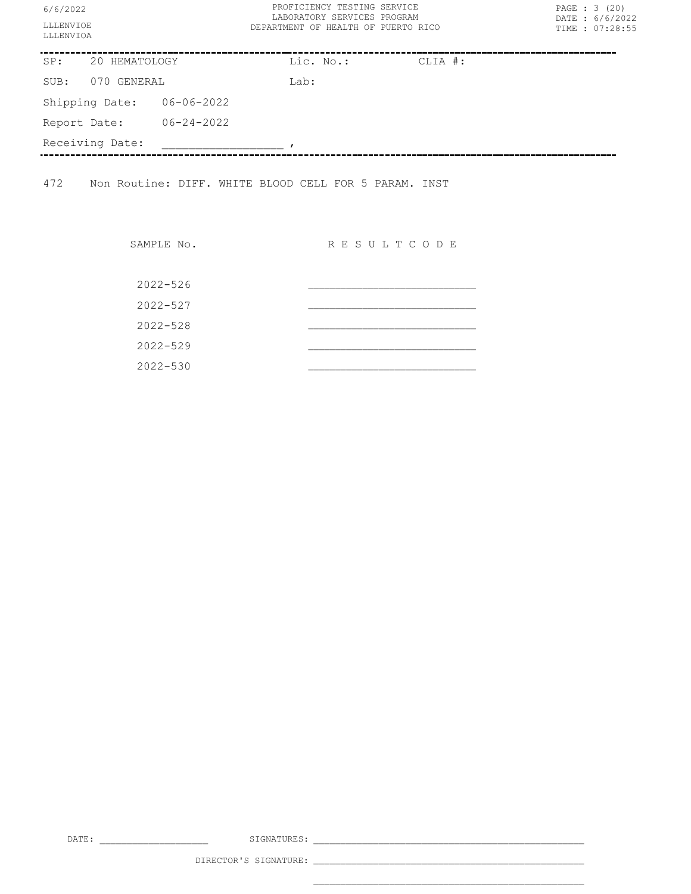| 6/6/2022<br>LLLENVIOE<br>LLLENVIOA |  |                  | PROFICIENCY TESTING SERVICE<br>LABORATORY SERVICES PROGRAM<br>DEPARTMENT OF HEALTH OF PUERTO RICO |           |         |  | PAGE : 3 (20)<br>DATE: 6/6/2022<br>TIME : 07:28:55 |
|------------------------------------|--|------------------|---------------------------------------------------------------------------------------------------|-----------|---------|--|----------------------------------------------------|
| SP:<br>20 HEMATOLOGY               |  |                  |                                                                                                   | Lic. No.: | CLIA #: |  |                                                    |
| GENERAL<br>SUB:<br>070             |  |                  | Lab:                                                                                              |           |         |  |                                                    |
| Shipping Date:                     |  | $06 - 06 - 2022$ |                                                                                                   |           |         |  |                                                    |
| Report Date:                       |  | $06 - 24 - 2022$ |                                                                                                   |           |         |  |                                                    |
| Receiving Date:                    |  |                  |                                                                                                   |           |         |  |                                                    |
|                                    |  |                  |                                                                                                   |           |         |  |                                                    |

472 Non Routine: DIFF. WHITE BLOOD CELL FOR 5 PARAM. INST

| SAMPLE No.   | R E S U L T C O D E |  |
|--------------|---------------------|--|
| $2022 - 526$ |                     |  |
| $2022 - 527$ |                     |  |
| $2022 - 528$ |                     |  |
| $2022 - 529$ |                     |  |
| $2022 - 530$ |                     |  |

DATE: \_\_\_\_\_\_\_\_\_\_\_\_\_\_\_\_\_\_\_\_ SIGNATURES: \_\_\_\_\_\_\_\_\_\_\_\_\_\_\_\_\_\_\_\_\_\_\_\_\_\_\_\_\_\_\_\_\_\_\_\_\_\_\_\_\_\_\_\_\_\_\_\_\_\_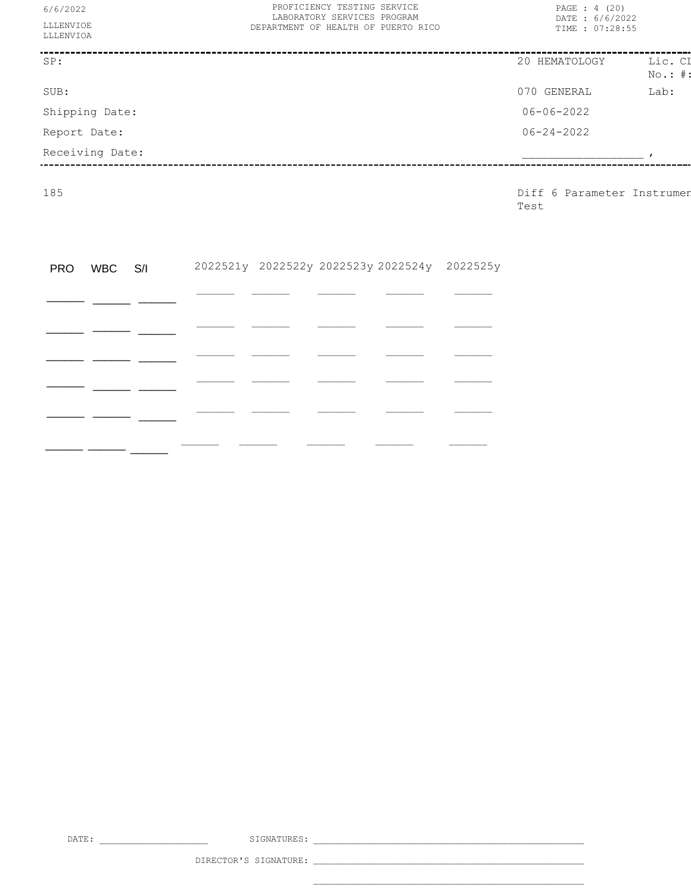| 6/6/2022<br>LLLENVIOE<br>LLLENVIOA | PROFICIENCY TESTING SERVICE<br>LABORATORY SERVICES PROGRAM<br>DEPARTMENT OF HEALTH OF PUERTO RICO | PAGE : 4 (20)<br>DATE: 6/6/2022<br>TIME : 07:28:55 |                      |  |  |
|------------------------------------|---------------------------------------------------------------------------------------------------|----------------------------------------------------|----------------------|--|--|
| SP:                                |                                                                                                   | 20 HEMATOLOGY                                      | Lic. CI<br>$No.:$ #: |  |  |
| SUB:                               |                                                                                                   | 070 GENERAL                                        | Lab:                 |  |  |
| Shipping Date:                     |                                                                                                   | $06 - 06 - 2022$                                   |                      |  |  |
| Report Date:                       |                                                                                                   | $06 - 24 - 2022$                                   |                      |  |  |
| Receiving Date:                    |                                                                                                   |                                                    |                      |  |  |

185 Diff 6 Parameter Instruments Test

| PRO WBC S/I |  |  | 2022521y 2022522y 2022523y 2022524y 2022525y |  |
|-------------|--|--|----------------------------------------------|--|
|             |  |  |                                              |  |
|             |  |  |                                              |  |
|             |  |  |                                              |  |
|             |  |  |                                              |  |
|             |  |  |                                              |  |
|             |  |  |                                              |  |

DATE: \_\_\_\_\_\_\_\_\_\_\_\_\_\_\_\_\_\_\_\_ SIGNATURES: \_\_\_\_\_\_\_\_\_\_\_\_\_\_\_\_\_\_\_\_\_\_\_\_\_\_\_\_\_\_\_\_\_\_\_\_\_\_\_\_\_\_\_\_\_\_\_\_\_\_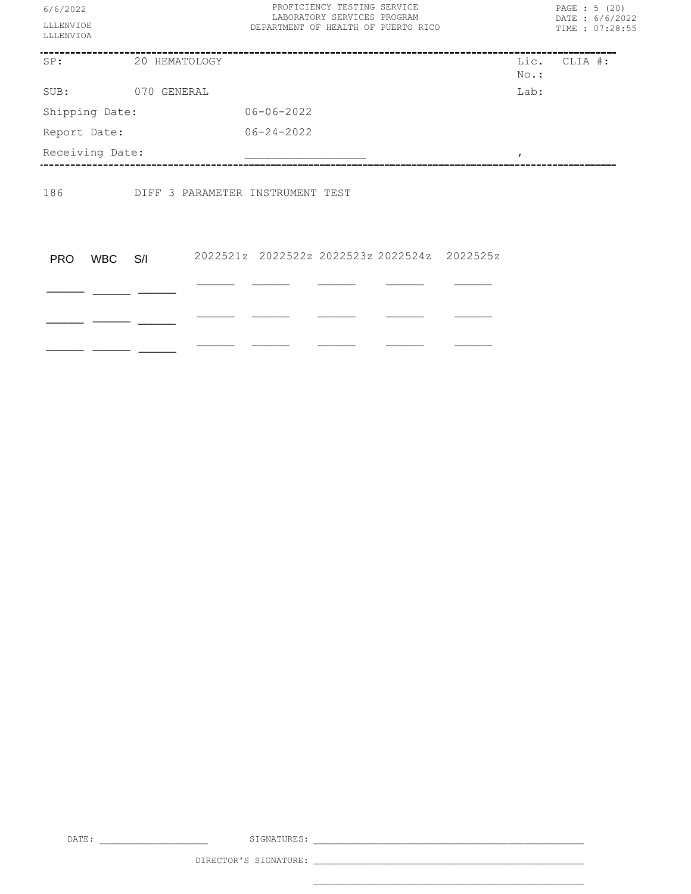| 6/6/2022<br>LLLENVIOE<br>LLLENVIOA |               | PROFICIENCY TESTING SERVICE<br>LABORATORY SERVICES PROGRAM<br>DEPARTMENT OF HEALTH OF PUERTO RICO | PAGE : 5 (20)<br>DATE: 6/6/2022<br>TIME : 07:28:55 |              |
|------------------------------------|---------------|---------------------------------------------------------------------------------------------------|----------------------------------------------------|--------------|
| SP:                                | 20 HEMATOLOGY |                                                                                                   | No.:                                               | Lic. CLIA #: |
| SUB:                               | 070 GENERAL   |                                                                                                   | Lab:                                               |              |
| Shipping Date:                     |               | $06 - 06 - 2022$                                                                                  |                                                    |              |
| Report Date:                       |               | $06 - 24 - 2022$                                                                                  |                                                    |              |
| Receiving Date:                    |               |                                                                                                   |                                                    |              |
| 186                                |               | DIFF 3 PARAMETER INSTRUMENT TEST                                                                  |                                                    |              |
| <b>WBC</b><br><b>PRO</b>           | S/I           | 2022521z 2022522z 2022523z 2022524z 2022525z                                                      |                                                    |              |
|                                    |               |                                                                                                   |                                                    |              |
|                                    |               |                                                                                                   |                                                    |              |
|                                    |               |                                                                                                   |                                                    |              |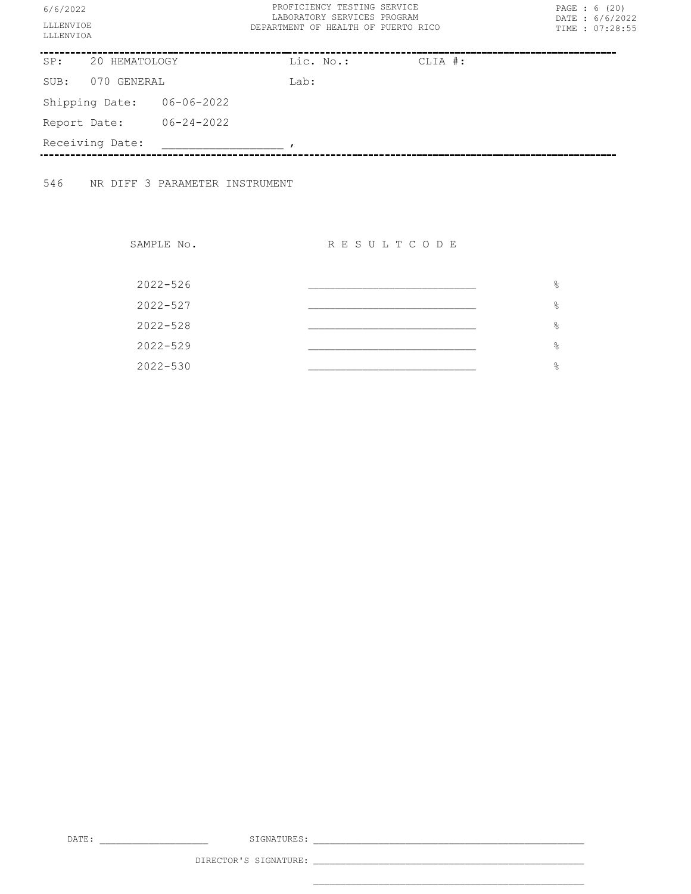| 6/6/2022<br>LLLENVIOE<br>LLLENVIOA |                |                  | PROFICIENCY TESTING SERVICE<br>LABORATORY SERVICES PROGRAM<br>DEPARTMENT OF HEALTH OF PUERTO RICO |           | PAGE : 6 (20)<br>DATE: 6/6/2022<br>TIME : 07:28:55 |
|------------------------------------|----------------|------------------|---------------------------------------------------------------------------------------------------|-----------|----------------------------------------------------|
| SP:                                | 20 HEMATOLOGY  |                  | Lic. No.:                                                                                         | $CLIA$ #: |                                                    |
| 070 GENERAL<br>SUB:                |                |                  | Lab:                                                                                              |           |                                                    |
|                                    | Shipping Date: | 06-06-2022       |                                                                                                   |           |                                                    |
| Report Date:                       |                | $06 - 24 - 2022$ |                                                                                                   |           |                                                    |
| Receiving Date:                    |                |                  |                                                                                                   |           |                                                    |
|                                    |                |                  |                                                                                                   |           |                                                    |

546 NR DIFF 3 PARAMETER INSTRUMENT

SAMPLE No. RESULTCODE

| 2022-526     | ိင            |
|--------------|---------------|
| 2022-527     | ိင            |
| $2022 - 528$ | $\frac{6}{5}$ |
| 2022-529     | $\frac{6}{5}$ |
| 2022-530     | &             |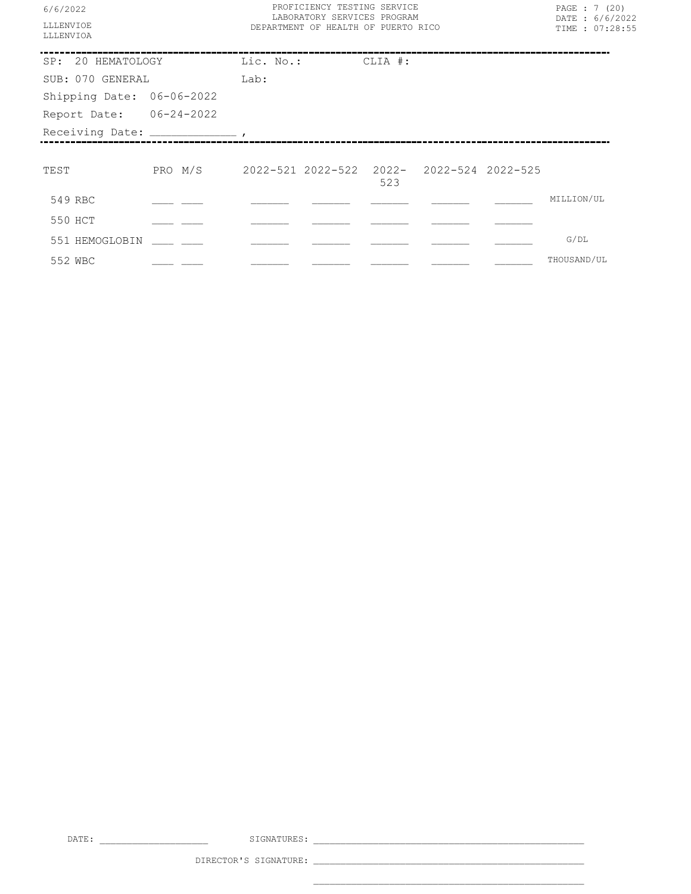| 6/6/2022                            |                                                   | PROFICIENCY TESTING SERVICE<br>LABORATORY SERVICES PROGRAM |  |     |  |  |            | PAGE : 7 (20)<br>DATE: 6/6/2022 |
|-------------------------------------|---------------------------------------------------|------------------------------------------------------------|--|-----|--|--|------------|---------------------------------|
| <b>LLLENVIOE</b><br>LLLENVIOA       |                                                   | DEPARTMENT OF HEALTH OF PUERTO RICO                        |  |     |  |  |            | TIME : 07:28:55                 |
| SP: 20 HEMATOLOGY Lic. No.: CLIA #: |                                                   |                                                            |  |     |  |  |            |                                 |
| SUB: 070 GENERAL                    |                                                   | Lab:                                                       |  |     |  |  |            |                                 |
| Shipping Date: 06-06-2022           |                                                   |                                                            |  |     |  |  |            |                                 |
| Report Date: 06-24-2022             |                                                   |                                                            |  |     |  |  |            |                                 |
|                                     |                                                   |                                                            |  |     |  |  |            |                                 |
|                                     |                                                   |                                                            |  |     |  |  |            |                                 |
|                                     |                                                   |                                                            |  |     |  |  |            |                                 |
| TEST                                | PRO M/S 2022-521 2022-522 2022- 2022-524 2022-525 |                                                            |  | 523 |  |  |            |                                 |
| 549 RBC                             |                                                   |                                                            |  |     |  |  | MILLION/UL |                                 |
| 550 HCT                             |                                                   |                                                            |  |     |  |  |            |                                 |
| 551 HEMOGLOBIN                      |                                                   |                                                            |  |     |  |  | G/DL       |                                 |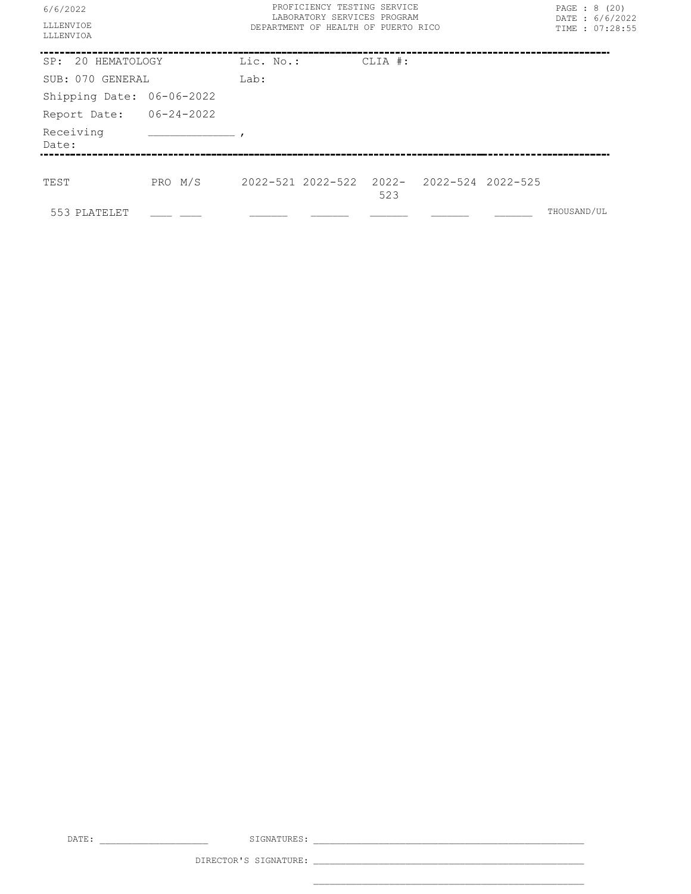| 6/6/2022<br>LLLENVIOE<br>LLLENVIOA | PROFICIENCY TESTING SERVICE<br>LABORATORY SERVICES PROGRAM<br>DEPARTMENT OF HEALTH OF PUERTO RICO |           |  |         |  | PAGE : 8 (20)<br>DATE: 6/6/2022<br>TIME : 07:28:55 |             |  |
|------------------------------------|---------------------------------------------------------------------------------------------------|-----------|--|---------|--|----------------------------------------------------|-------------|--|
|                                    |                                                                                                   |           |  |         |  |                                                    |             |  |
| SP: 20 HEMATOLOGY                  |                                                                                                   | Lic. No.: |  | CLIA #: |  |                                                    |             |  |
| SUB: 070 GENERAL                   |                                                                                                   | Lab:      |  |         |  |                                                    |             |  |
| Shipping Date: 06-06-2022          |                                                                                                   |           |  |         |  |                                                    |             |  |
| Report Date: 06-24-2022            |                                                                                                   |           |  |         |  |                                                    |             |  |
| Receiving<br>Date:                 |                                                                                                   |           |  |         |  |                                                    |             |  |
|                                    |                                                                                                   |           |  |         |  |                                                    |             |  |
| TEST                               | PRO M/S 2022-521 2022-522 2022- 2022-524 2022-525                                                 |           |  | 523     |  |                                                    |             |  |
| 553 PLATELET                       |                                                                                                   |           |  |         |  |                                                    | THOUSAND/UL |  |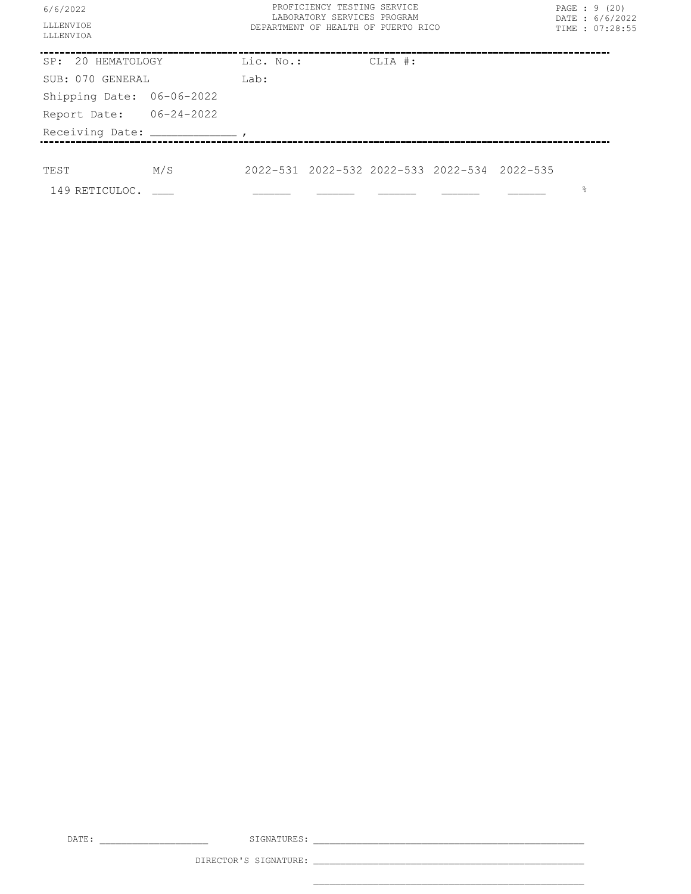| 6/6/2022<br>LLLENVIOE<br>LLLENVIOA    |     | PROFICIENCY TESTING SERVICE<br>LABORATORY SERVICES PROGRAM<br>DEPARTMENT OF HEALTH OF PUERTO RICO |                                              |         |  | PAGE : 9 (20)<br>DATE: 6/6/2022<br>TIME : 07:28:55 |  |
|---------------------------------------|-----|---------------------------------------------------------------------------------------------------|----------------------------------------------|---------|--|----------------------------------------------------|--|
| SP: 20 HEMATOLOGY                     |     | Lic. No.:                                                                                         |                                              | CLIA #: |  |                                                    |  |
| SUB: 070 GENERAL                      |     | Lab:                                                                                              |                                              |         |  |                                                    |  |
| Shipping Date: 06-06-2022             |     |                                                                                                   |                                              |         |  |                                                    |  |
| Report Date: 06-24-2022               |     |                                                                                                   |                                              |         |  |                                                    |  |
| Receiving Date: _____________________ |     |                                                                                                   |                                              |         |  |                                                    |  |
|                                       |     |                                                                                                   |                                              |         |  |                                                    |  |
| TEST                                  | M/S |                                                                                                   | 2022-531 2022-532 2022-533 2022-534 2022-535 |         |  |                                                    |  |
| $149$ RETICULOC. $\_\_$               |     |                                                                                                   |                                              |         |  | 웅                                                  |  |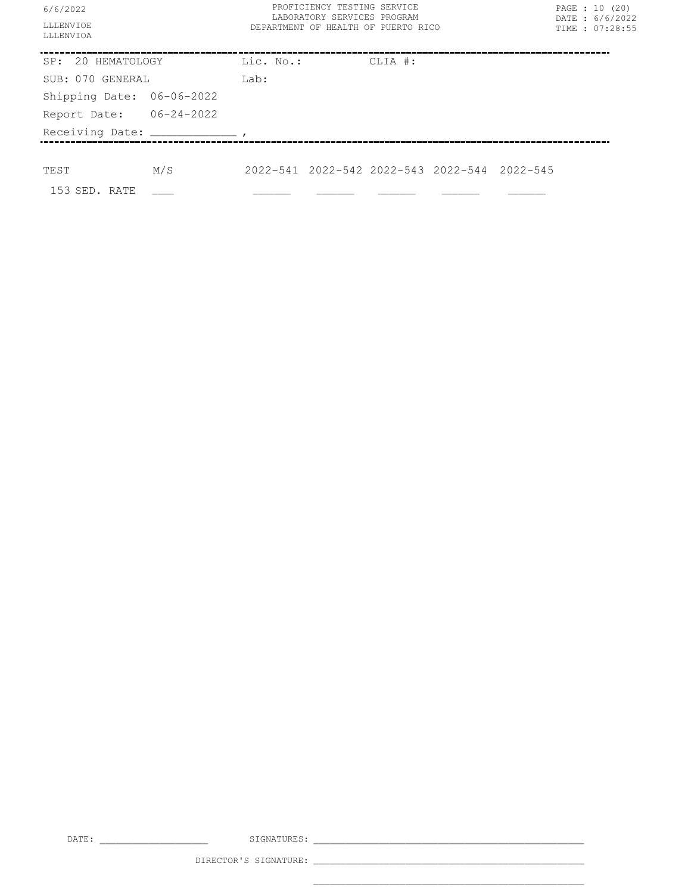| 6/6/2022                  | PROFICIENCY TESTING SERVICE<br>LABORATORY SERVICES PROGRAM | PAGE : 10 (20)<br>DATE: 6/6/2022 |
|---------------------------|------------------------------------------------------------|----------------------------------|
| LLLENVIOE<br>LLLENVIOA    | DEPARTMENT OF HEALTH OF PUERTO RICO                        | TIME : 07:28:55                  |
| SP: 20 HEMATOLOGY         | Lic. No.:<br>CLIA #:                                       |                                  |
| SUB: 070 GENERAL          | Lab:                                                       |                                  |
| Shipping Date: 06-06-2022 |                                                            |                                  |
| Report Date: 06-24-2022   |                                                            |                                  |
|                           |                                                            |                                  |
|                           |                                                            |                                  |
| M/S<br>TEST               | 2022-541 2022-542 2022-543 2022-544 2022-545               |                                  |
| 153 SED. RATE             |                                                            |                                  |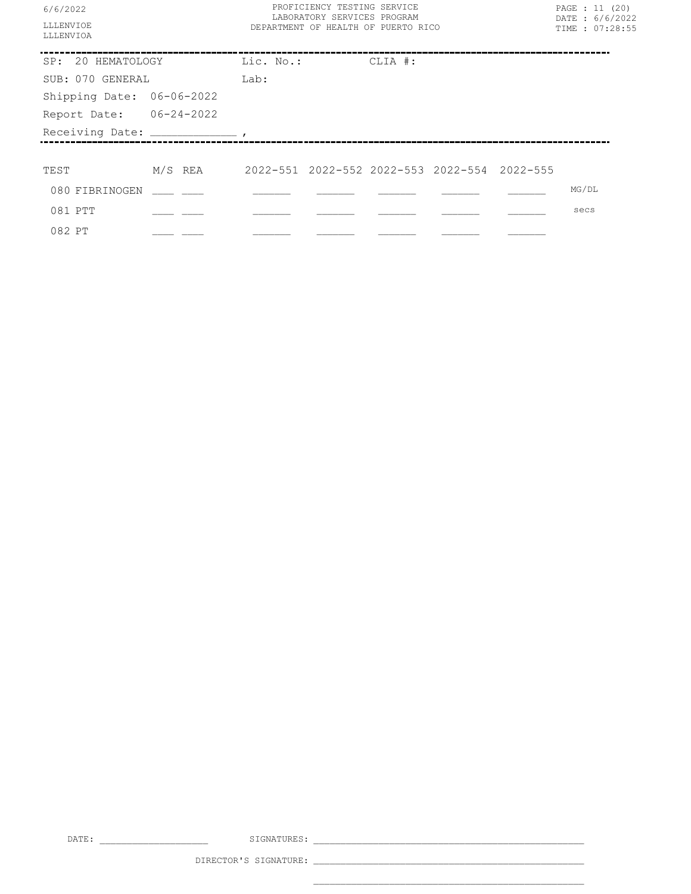| 6/6/2022<br><b>LLLENVTOE</b><br>LLLENVIOA | PROFICIENCY TESTING SERVICE<br>LABORATORY SERVICES PROGRAM<br>DEPARTMENT OF HEALTH OF PUERTO RICO |  | PAGE : 11 (20)<br>DATE: 6/6/2022<br>TIME : 07:28:55 |  |       |  |
|-------------------------------------------|---------------------------------------------------------------------------------------------------|--|-----------------------------------------------------|--|-------|--|
|                                           |                                                                                                   |  |                                                     |  |       |  |
| SP: 20 HEMATOLOGY Lic. No.: CLIA #:       |                                                                                                   |  |                                                     |  |       |  |
| SUB: 070 GENERAL                          | Lab:                                                                                              |  |                                                     |  |       |  |
| Shipping Date: 06-06-2022                 |                                                                                                   |  |                                                     |  |       |  |
| Report Date: 06-24-2022                   |                                                                                                   |  |                                                     |  |       |  |
|                                           |                                                                                                   |  |                                                     |  |       |  |
|                                           |                                                                                                   |  |                                                     |  |       |  |
| TEST                                      |                                                                                                   |  |                                                     |  |       |  |
| 080 FIBRINOGEN ____ ___                   |                                                                                                   |  |                                                     |  | MG/DL |  |
| 081 PTT                                   |                                                                                                   |  |                                                     |  | secs  |  |
| 082 PT                                    |                                                                                                   |  |                                                     |  |       |  |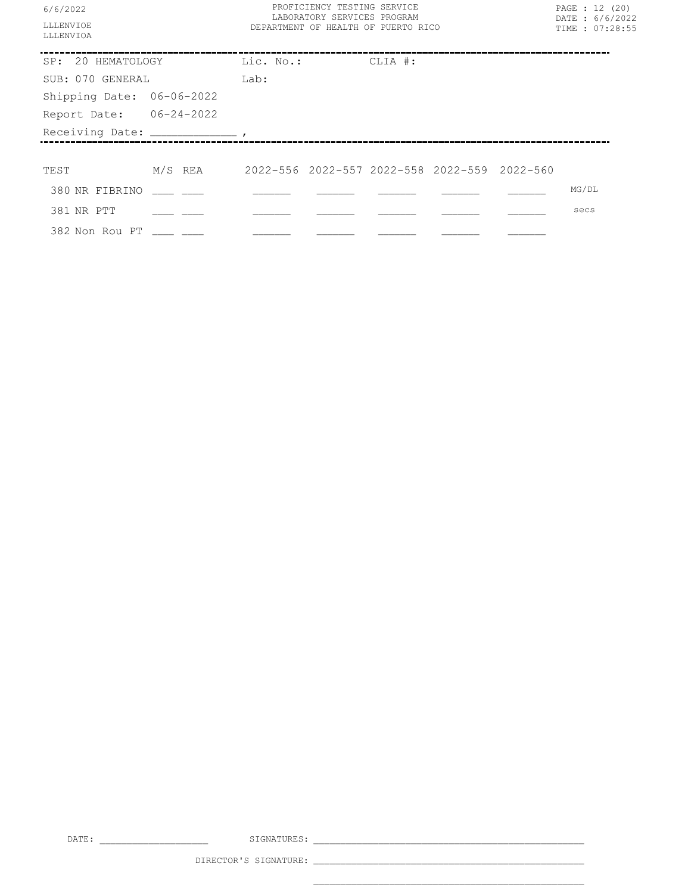| 6/6/2022                            |                                                         | PROFICIENCY TESTING SERVICE<br>LABORATORY SERVICES PROGRAM |  | PAGE : 12 (20)<br>DATE: 6/6/2022 |       |  |
|-------------------------------------|---------------------------------------------------------|------------------------------------------------------------|--|----------------------------------|-------|--|
| <b>LLLENVIOE</b><br>LLLENVIOA       |                                                         | DEPARTMENT OF HEALTH OF PUERTO RICO                        |  | TIME : 07:28:55                  |       |  |
| SP: 20 HEMATOLOGY Lic. No.: CLIA #: |                                                         |                                                            |  |                                  |       |  |
| SUB: 070 GENERAL                    |                                                         | Lab:                                                       |  |                                  |       |  |
| Shipping Date: 06-06-2022           |                                                         |                                                            |  |                                  |       |  |
| Report Date: 06-24-2022             |                                                         |                                                            |  |                                  |       |  |
|                                     |                                                         |                                                            |  |                                  |       |  |
| TEST                                | M/S REA    2022-556 2022-557 2022-558 2022-559 2022-560 |                                                            |  |                                  |       |  |
| 380 NR FIBRINO                      |                                                         |                                                            |  |                                  | MG/DL |  |
| 381 NR PTT                          |                                                         |                                                            |  |                                  | secs  |  |
| 382 Non Rou PT                      |                                                         |                                                            |  |                                  |       |  |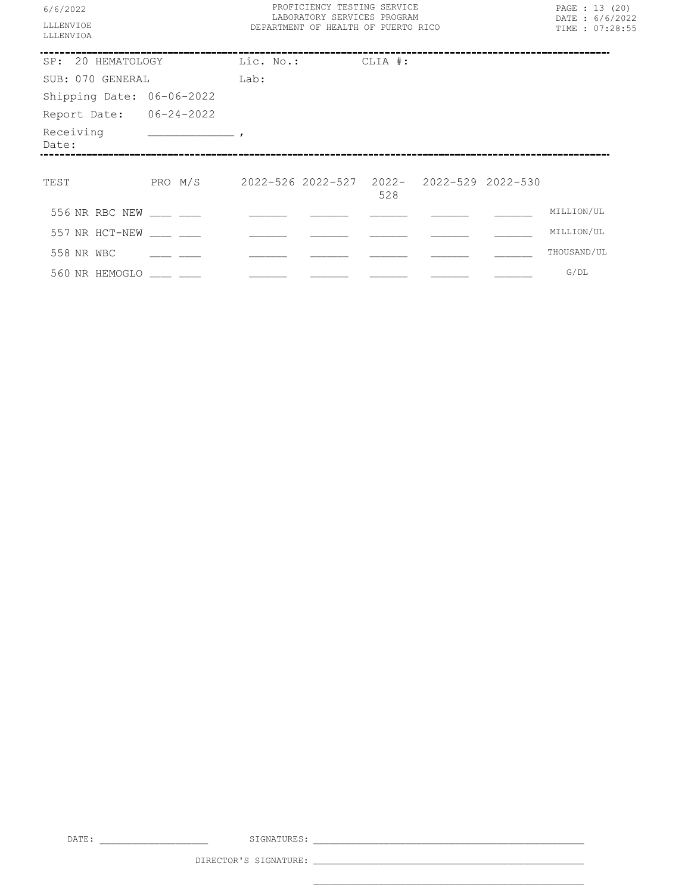| 6/6/2022<br><b>LLLENVIOR</b><br>LLLENVIOA |                                                    | PROFICIENCY TESTING SERVICE<br>LABORATORY SERVICES PROGRAM<br>DEPARTMENT OF HEALTH OF PUERTO RICO | PAGE : 13 (20)<br>DATE: 6/6/2022<br>TIME : 07:28:55 |  |             |
|-------------------------------------------|----------------------------------------------------|---------------------------------------------------------------------------------------------------|-----------------------------------------------------|--|-------------|
| SP: 20 HEMATOLOGY                         | Lic. No.: CLIA #:                                  |                                                                                                   |                                                     |  |             |
| SUB: 070 GENERAL                          |                                                    | Lab:                                                                                              |                                                     |  |             |
| Shipping Date: 06-06-2022                 |                                                    |                                                                                                   |                                                     |  |             |
| Report Date: 06-24-2022                   |                                                    |                                                                                                   |                                                     |  |             |
| Date:                                     |                                                    |                                                                                                   |                                                     |  |             |
| TEST                                      | PRO M/S  2022-526 2022-527 2022- 2022-529 2022-530 |                                                                                                   | 528                                                 |  |             |
| 556 NR RBC NEW                            |                                                    |                                                                                                   |                                                     |  | MILLION/UL  |
| 557 NR HCT-NEW                            |                                                    |                                                                                                   |                                                     |  | MILLION/UL  |
| 558 NR WBC                                |                                                    |                                                                                                   |                                                     |  | THOUSAND/UL |
| 560 NR HEMOGLO ____ ___                   |                                                    |                                                                                                   |                                                     |  | G/DL        |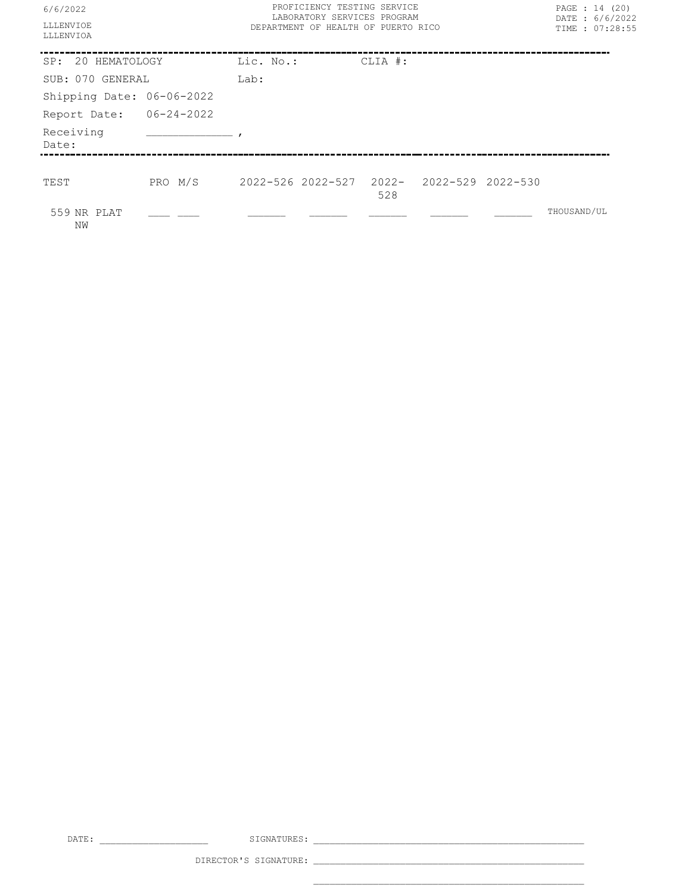| 6/6/2022<br>LLLENVIOE<br>LLLENVIOA |                                                   | PROFICIENCY TESTING SERVICE<br>LABORATORY SERVICES PROGRAM<br>DEPARTMENT OF HEALTH OF PUERTO RICO |  |         |  |  |             | PAGE : 14 (20)<br>DATE: 6/6/2022<br>TIME : 07:28:55 |
|------------------------------------|---------------------------------------------------|---------------------------------------------------------------------------------------------------|--|---------|--|--|-------------|-----------------------------------------------------|
| SP: 20 HEMATOLOGY                  |                                                   | Lic. No.:                                                                                         |  | CLIA #: |  |  |             |                                                     |
| SUB: 070 GENERAL                   |                                                   | Lab:                                                                                              |  |         |  |  |             |                                                     |
| Shipping Date: 06-06-2022          |                                                   |                                                                                                   |  |         |  |  |             |                                                     |
| Report Date: 06-24-2022            |                                                   |                                                                                                   |  |         |  |  |             |                                                     |
| Receiving<br>Date:                 |                                                   |                                                                                                   |  |         |  |  |             |                                                     |
|                                    |                                                   |                                                                                                   |  |         |  |  |             |                                                     |
| TEST                               | PRO M/S 2022-526 2022-527 2022- 2022-529 2022-530 |                                                                                                   |  | 528     |  |  |             |                                                     |
| 559 NR PLAT<br>NW                  |                                                   |                                                                                                   |  |         |  |  | THOUSAND/UL |                                                     |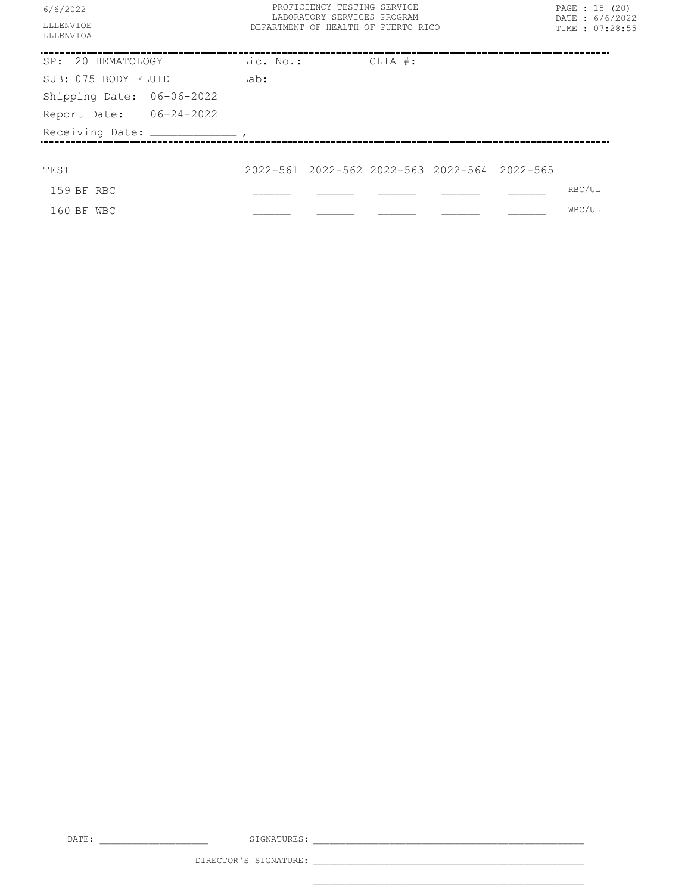| 6/6/2022<br><b>LLLENVTOE</b><br>LLLENVIOA | PROFICIENCY TESTING SERVICE<br>LABORATORY SERVICES PROGRAM<br>DEPARTMENT OF HEALTH OF PUERTO RICO |         | PAGE : 15 (20)<br>DATE: 6/6/2022<br>TIME : 07:28:55 |        |  |
|-------------------------------------------|---------------------------------------------------------------------------------------------------|---------|-----------------------------------------------------|--------|--|
| SP: 20 HEMATOLOGY Lic. No.:               |                                                                                                   | CLIA #: |                                                     |        |  |
| SUB: 075 BODY FLUID                       | Lab:                                                                                              |         |                                                     |        |  |
| Shipping Date: 06-06-2022                 |                                                                                                   |         |                                                     |        |  |
| Report Date: 06-24-2022                   |                                                                                                   |         |                                                     |        |  |
| Receiving Date: ____________________      |                                                                                                   |         |                                                     |        |  |
|                                           |                                                                                                   |         |                                                     |        |  |
| TEST                                      | 2022-561 2022-562 2022-563 2022-564 2022-565                                                      |         |                                                     |        |  |
| 159 BF RBC                                |                                                                                                   |         |                                                     | RBC/UL |  |
| 160 BF WBC                                |                                                                                                   |         |                                                     | WBC/UL |  |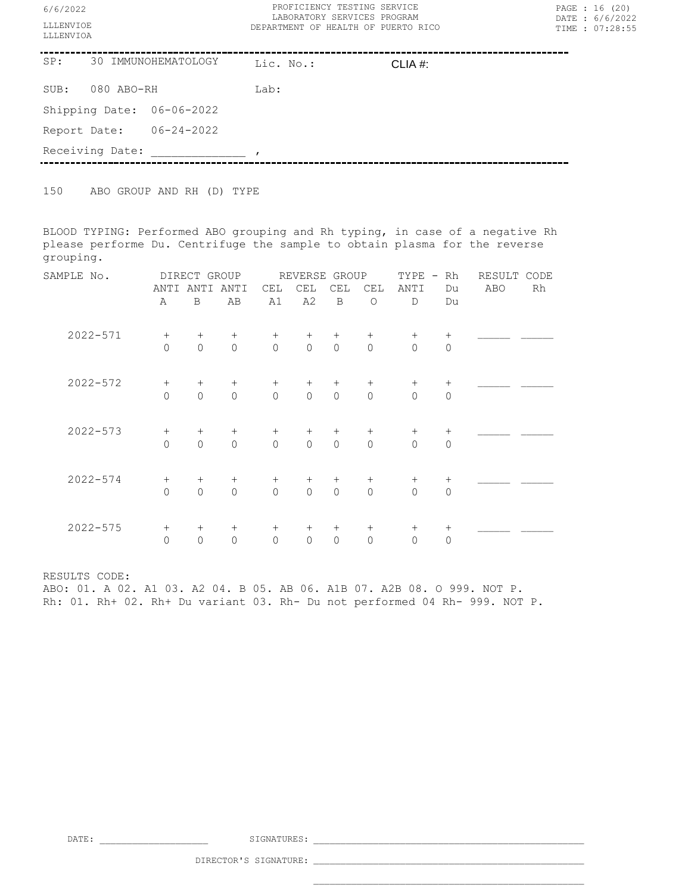| 6/6/2022<br>LLLENVIOE<br>LLLENVIOA | PROFICIENCY TESTING SERVICE<br>LABORATORY SERVICES PROGRAM<br>DEPARTMENT OF HEALTH OF PUERTO RICO | PAGE : 16 (20)<br>DATE: 6/6/2022<br>TIME : 07:28:55 |
|------------------------------------|---------------------------------------------------------------------------------------------------|-----------------------------------------------------|
| SP:<br>30 IMMUNOHEMATOLOGY         | Lic. No.:<br>CLIA $#$ :                                                                           |                                                     |
| 080 ABO-RH<br>SUB:                 | Lab:                                                                                              |                                                     |
| Shipping Date: 06-06-2022          |                                                                                                   |                                                     |
| $06 - 24 - 2022$<br>Report Date:   |                                                                                                   |                                                     |
| Receiving Date:                    |                                                                                                   |                                                     |

150 ABO GROUP AND RH (D) TYPE

BLOOD TYPING: Performed ABO grouping and Rh typing, in case of a negative Rh please performe Du. Centrifuge the sample to obtain plasma for the reverse grouping.

| SAMPLE No.   | DIRECT GROUP |             |                     | REVERSE<br>GROUP |                |             |                | TYPE<br>$\overline{\phantom{a}}$ | Rh             | CODE<br>RESULT |    |  |
|--------------|--------------|-------------|---------------------|------------------|----------------|-------------|----------------|----------------------------------|----------------|----------------|----|--|
|              | ANTI         | ANTI        | ANTI                | CEL              | CEL            | CEL         | CEL            | ANTI                             | Du             | ABO            | Rh |  |
|              | Α            | B           | AB                  | A1               | A2             | $\mathbf B$ | $\circ$        | $\mathbb{D}$                     | Du             |                |    |  |
| $2022 - 571$ | $^{+}$       | $^{+}$      | $^{+}$              | $+$              | $^{+}$         | $+$         | $^{+}$         | $^{+}$                           |                |                |    |  |
|              | $\mathbf 0$  | $\Omega$    | $\circ$             | $\mathbf 0$      | $\circ$        | $\circ$     | $\mathbf{0}$   | $\overline{0}$                   | $\mathbf{0}$   |                |    |  |
| $2022 - 572$ | $^{+}$       | $^{+}$      | $^{+}$              | $^{+}$           | $^{+}$         | $+$         | $^{+}$         | $^{+}$                           | $^{+}$         |                |    |  |
|              | $\mathbf 0$  | $\Omega$    | $\mathsf{O}\xspace$ | $\circ$          | $\mathsf{O}$   | $\circ$     | $\overline{0}$ | $\overline{0}$                   | $\mathbf{0}$   |                |    |  |
| $2022 - 573$ | $^{+}$       | $^{+}$      | $^{+}$              | $^{+}$           | $^{+}$         | $^{+}$      | $^{+}$         | $^{+}$                           | $^{+}$         |                |    |  |
|              | $\circ$      | $\circ$     | $\mathsf{O}\xspace$ | $\circ$          | $\circ$        | $\circ$     | $\mathbf{0}$   | $\overline{0}$                   | $\mathbf{0}$   |                |    |  |
| $2022 - 574$ | $^{+}$       | $^{+}$      | $^{+}$              | $^{+}$           | $^{+}$         | $^{+}$      | $^{+}$         | $^{+}$                           | $^{+}$         |                |    |  |
|              | $\mathbf 0$  | $\Omega$    | $\Omega$            | $\Omega$         | $\overline{0}$ | $\Omega$    | $\overline{0}$ | $\mathbf 0$                      | $\mathbf 0$    |                |    |  |
| $2022 - 575$ | $^{+}$       | $^{+}$      | $^{+}$              | $^{+}$           | $^{+}$         | $^{+}$      | $^{+}$         | $^{+}$                           | $^{+}$         |                |    |  |
|              | $\mathbb O$  | $\mathbf 0$ | $\mathbf{0}$        | $\mathbb O$      | $\circ$        | $\circ$     | $\mathbf{0}$   | $\mathsf{O}\xspace$              | $\overline{0}$ |                |    |  |

RESULTS CODE:

ABO: 01. A 02. A1 03. A2 04. B 05. AB 06. A1B 07. A2B 08. O 999. NOT P. Rh: 01. Rh+ 02. Rh+ Du variant 03. Rh- Du not performed 04 Rh- 999. NOT P.

DATE: \_\_\_\_\_\_\_\_\_\_\_\_\_\_\_\_\_\_\_\_ SIGNATURES: \_\_\_\_\_\_\_\_\_\_\_\_\_\_\_\_\_\_\_\_\_\_\_\_\_\_\_\_\_\_\_\_\_\_\_\_\_\_\_\_\_\_\_\_\_\_\_\_\_\_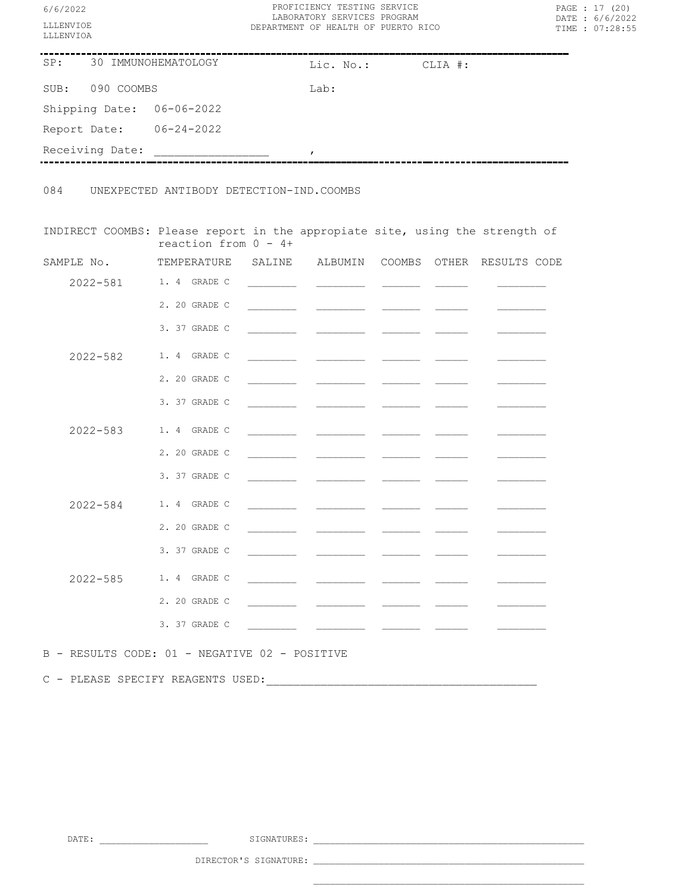| 6/6/2022<br>LLLENVIOE<br>LLLENVIOA                                           | PROFICIENCY TESTING SERVICE<br>LABORATORY SERVICES PROGRAM<br>DEPARTMENT OF HEALTH OF PUERTO RICO |      |               |                                                                                                                                                                                                                                      |  | PAGE : 17 (20)<br>DATE: 6/6/2022<br>TIME : 07:28:55 |  |  |
|------------------------------------------------------------------------------|---------------------------------------------------------------------------------------------------|------|---------------|--------------------------------------------------------------------------------------------------------------------------------------------------------------------------------------------------------------------------------------|--|-----------------------------------------------------|--|--|
| SP: 30 IMMUNOHEMATOLOGY                                                      | Lic. No.: CLIA #:                                                                                 |      |               |                                                                                                                                                                                                                                      |  |                                                     |  |  |
| SUB: 090 COOMBS                                                              |                                                                                                   | Lab: |               |                                                                                                                                                                                                                                      |  |                                                     |  |  |
| Shipping Date: 06-06-2022                                                    |                                                                                                   |      |               |                                                                                                                                                                                                                                      |  |                                                     |  |  |
| Report Date: 06-24-2022                                                      |                                                                                                   |      |               |                                                                                                                                                                                                                                      |  |                                                     |  |  |
| Receiving Date:                                                              |                                                                                                   |      | $\mathcal{L}$ |                                                                                                                                                                                                                                      |  |                                                     |  |  |
| 084 UNEXPECTED ANTIBODY DETECTION-IND.COOMBS                                 |                                                                                                   |      |               |                                                                                                                                                                                                                                      |  |                                                     |  |  |
| INDIRECT COOMBS: Please report in the appropiate site, using the strength of | reaction from $0 - 4 +$                                                                           |      |               |                                                                                                                                                                                                                                      |  |                                                     |  |  |
| SAMPLE No. TEMPERATURE SALINE ALBUMIN COOMBS OTHER RESULTS CODE              |                                                                                                   |      |               |                                                                                                                                                                                                                                      |  |                                                     |  |  |
|                                                                              | 2022-581 1.4 GRADE C                                                                              |      |               |                                                                                                                                                                                                                                      |  |                                                     |  |  |
|                                                                              | 2. 20 GRADE C                                                                                     |      |               |                                                                                                                                                                                                                                      |  |                                                     |  |  |
|                                                                              | 3. 37 GRADE C                                                                                     |      |               |                                                                                                                                                                                                                                      |  |                                                     |  |  |
| $2022 - 582$                                                                 | 1. 4 GRADE C                                                                                      |      |               |                                                                                                                                                                                                                                      |  |                                                     |  |  |
|                                                                              | 2. 20 GRADE C                                                                                     |      |               |                                                                                                                                                                                                                                      |  |                                                     |  |  |
|                                                                              | 3. 37 GRADE C                                                                                     |      |               |                                                                                                                                                                                                                                      |  |                                                     |  |  |
|                                                                              | 2022-583 1.4 GRADE C                                                                              |      |               |                                                                                                                                                                                                                                      |  |                                                     |  |  |
|                                                                              | 2. 20 GRADE C                                                                                     |      |               | <u> The Communication of the Communication of the Communication of the Communication of the Communication of the Communication of the Communication of the Communication of the Communication of the Communication of the Commun</u> |  |                                                     |  |  |
|                                                                              | 3. 37 GRADE C                                                                                     |      |               |                                                                                                                                                                                                                                      |  |                                                     |  |  |
| $2022 - 584$                                                                 | 1. 4 GRADE C                                                                                      |      |               |                                                                                                                                                                                                                                      |  |                                                     |  |  |
|                                                                              | 2. 20 GRADE C                                                                                     |      |               |                                                                                                                                                                                                                                      |  |                                                     |  |  |
|                                                                              | 3. 37 GRADE C                                                                                     |      |               |                                                                                                                                                                                                                                      |  |                                                     |  |  |
|                                                                              | 2022-585 1.4 GRADE C                                                                              |      |               |                                                                                                                                                                                                                                      |  |                                                     |  |  |
|                                                                              | 2. 20 GRADE C                                                                                     |      |               |                                                                                                                                                                                                                                      |  |                                                     |  |  |
|                                                                              | 3. 37 GRADE C                                                                                     |      |               |                                                                                                                                                                                                                                      |  |                                                     |  |  |
|                                                                              |                                                                                                   |      |               |                                                                                                                                                                                                                                      |  |                                                     |  |  |
| B - RESULTS CODE: 01 - NEGATIVE 02 - POSITIVE                                |                                                                                                   |      |               |                                                                                                                                                                                                                                      |  |                                                     |  |  |
| C - PLEASE SPECIFY REAGENTS USED:                                            |                                                                                                   |      |               |                                                                                                                                                                                                                                      |  |                                                     |  |  |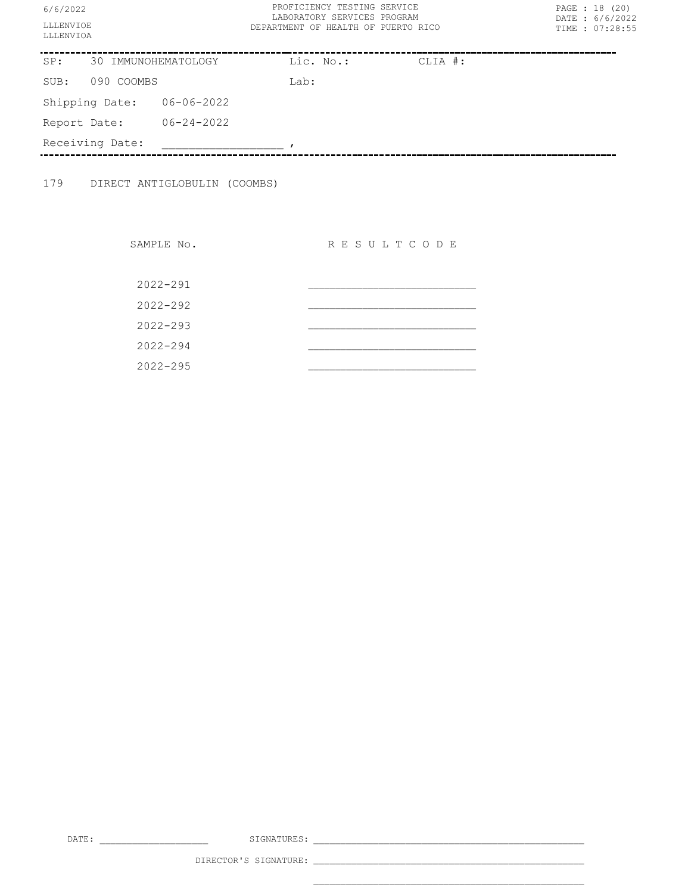| 6/6/2022<br>LLLENVIOE<br>LLLENVIOA |            |                              | PROFICIENCY TESTING SERVICE<br>LABORATORY SERVICES PROGRAM<br>DEPARTMENT OF HEALTH OF PUERTO RICO |  | PAGE : 18 (20)<br>DATE: 6/6/2022<br>TIME : 07:28:55 |
|------------------------------------|------------|------------------------------|---------------------------------------------------------------------------------------------------|--|-----------------------------------------------------|
| 30 IMMUNOHEMATOLOGY<br>SP:         |            | Lic. No.:                    | CLIA #:                                                                                           |  |                                                     |
| SUB:                               | 090 COOMBS |                              | Lab:                                                                                              |  |                                                     |
|                                    |            | Shipping Date: 06-06-2022    |                                                                                                   |  |                                                     |
| Report Date:                       |            | $06 - 24 - 2022$             |                                                                                                   |  |                                                     |
| Receiving Date:                    |            |                              |                                                                                                   |  |                                                     |
| 179                                |            | DIRECT ANTIGLOBULIN (COOMBS) |                                                                                                   |  |                                                     |

SAMPLE No. RESULTCODE 2022-291 \_\_\_\_\_\_\_\_\_\_\_\_\_\_\_\_\_\_\_\_\_\_\_\_\_\_\_\_\_\_\_ 2022-292 \_\_\_\_\_\_\_\_\_\_\_\_\_\_\_\_\_\_\_\_\_\_\_\_\_\_\_\_\_\_\_ 2022-293 \_\_\_\_\_\_\_\_\_\_\_\_\_\_\_\_\_\_\_\_\_\_\_\_\_\_\_\_\_\_\_ 2022-294 \_\_\_\_\_\_\_\_\_\_\_\_\_\_\_\_\_\_\_\_\_\_\_\_\_\_\_\_\_\_\_ 2022-295 \_\_\_\_\_\_\_\_\_\_\_\_\_\_\_\_\_\_\_\_\_\_\_\_\_\_\_\_\_\_\_

DATE: \_\_\_\_\_\_\_\_\_\_\_\_\_\_\_\_\_\_\_\_ SIGNATURES: \_\_\_\_\_\_\_\_\_\_\_\_\_\_\_\_\_\_\_\_\_\_\_\_\_\_\_\_\_\_\_\_\_\_\_\_\_\_\_\_\_\_\_\_\_\_\_\_\_\_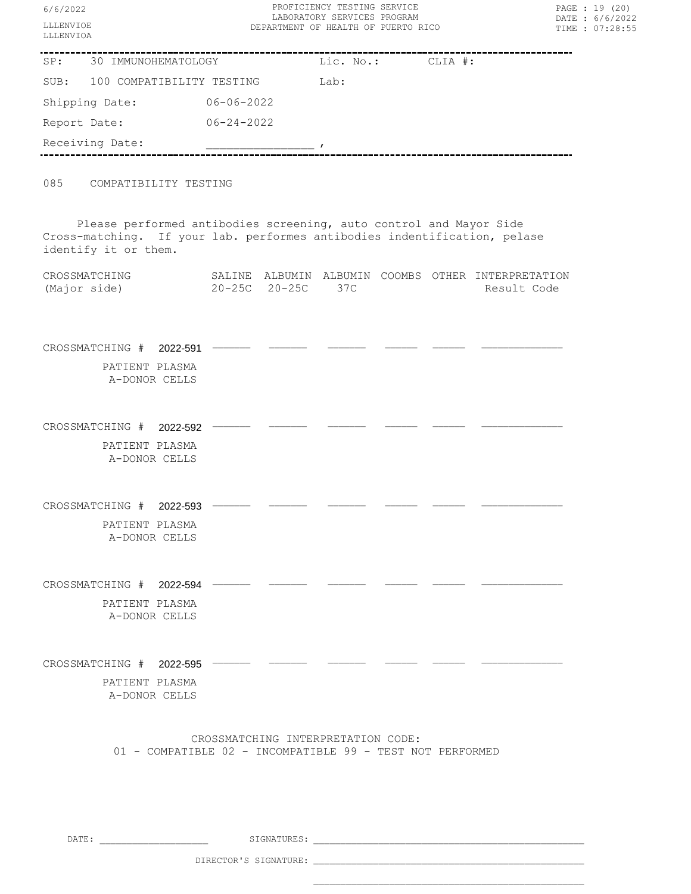| PROFICIENCY TESTING SERVICE<br>6/6/2022<br>LABORATORY SERVICES PROGRAM<br>LLLENVIOE<br>DEPARTMENT OF HEALTH OF PUERTO RICO<br>LLLENVIOA                                 |                  |               |                                    |  | PAGE : 19 (20)<br>DATE: 6/6/2022<br>TIME : 07:28:55 |                                                                   |  |
|-------------------------------------------------------------------------------------------------------------------------------------------------------------------------|------------------|---------------|------------------------------------|--|-----------------------------------------------------|-------------------------------------------------------------------|--|
| SP: 30 IMMUNOHEMATOLOGY                                                                                                                                                 |                  |               | Lic. No.:                          |  | CLIA #:                                             |                                                                   |  |
| SUB: 100 COMPATIBILITY TESTING                                                                                                                                          |                  |               | Lab:                               |  |                                                     |                                                                   |  |
| Shipping Date: 06-06-2022                                                                                                                                               |                  |               |                                    |  |                                                     |                                                                   |  |
| Report Date:                                                                                                                                                            | $06 - 24 - 2022$ |               |                                    |  |                                                     |                                                                   |  |
| Receiving Date:                                                                                                                                                         |                  |               | $\overline{\phantom{a}}$           |  |                                                     |                                                                   |  |
| 085<br>COMPATIBILITY TESTING                                                                                                                                            |                  |               |                                    |  |                                                     |                                                                   |  |
| Please performed antibodies screening, auto control and Mayor Side<br>Cross-matching. If your lab. performes antibodies indentification, pelase<br>identify it or them. |                  |               |                                    |  |                                                     |                                                                   |  |
| CROSSMATCHING<br>(Major side)                                                                                                                                           |                  | 20-25C 20-25C | 37C                                |  |                                                     | SALINE ALBUMIN ALBUMIN COOMBS OTHER INTERPRETATION<br>Result Code |  |
| CROSSMATCHING # 2022-591<br>PATIENT PLASMA<br>A-DONOR CELLS                                                                                                             |                  |               |                                    |  |                                                     |                                                                   |  |
| CROSSMATCHING # 2022-592<br>PATIENT PLASMA<br>A-DONOR CELLS                                                                                                             |                  |               |                                    |  |                                                     |                                                                   |  |
| CROSSMATCHING #<br>2022-593<br>PATIENT PLASMA<br>A-DONOR CELLS                                                                                                          |                  |               |                                    |  |                                                     |                                                                   |  |
| CROSSMATCHING # 2022-594<br>PATIENT PLASMA<br>A-DONOR CELLS                                                                                                             |                  |               |                                    |  |                                                     |                                                                   |  |
| CROSSMATCHING $#$ 2022-595 $-$<br>PATIENT PLASMA<br>A-DONOR CELLS                                                                                                       |                  |               |                                    |  |                                                     |                                                                   |  |
| 01 - COMPATIBLE 02 - INCOMPATIBLE 99 - TEST NOT PERFORMED                                                                                                               |                  |               | CROSSMATCHING INTERPRETATION CODE: |  |                                                     |                                                                   |  |
| DATE:                                                                                                                                                                   |                  | SIGNATURES:   |                                    |  |                                                     |                                                                   |  |